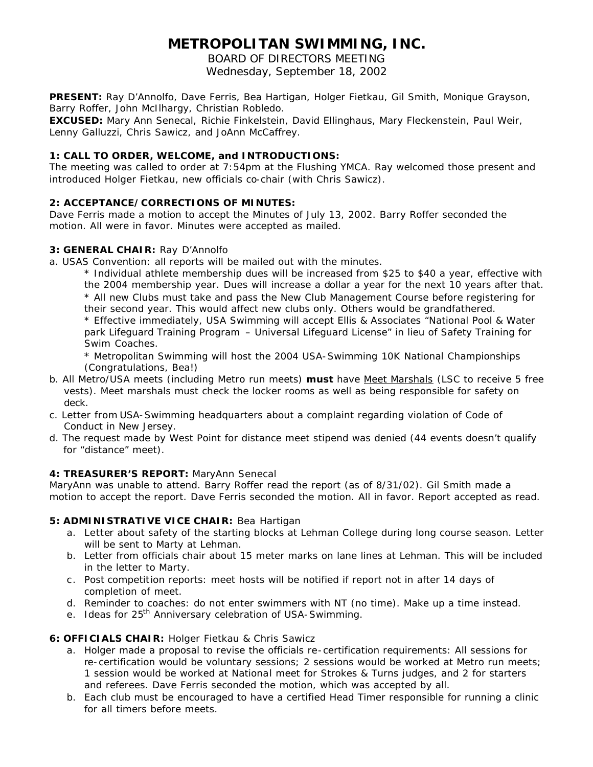# **METROPOLITAN SWIMMING, INC.**

BOARD OF DIRECTORS MEETING

Wednesday, September 18, 2002

**PRESENT:** Ray D'Annolfo, Dave Ferris, Bea Hartigan, Holger Fietkau, Gil Smith, Monique Grayson, Barry Roffer, John McIlhargy, Christian Robledo.

**EXCUSED:** Mary Ann Senecal, Richie Finkelstein, David Ellinghaus, Mary Fleckenstein, Paul Weir, Lenny Galluzzi, Chris Sawicz, and JoAnn McCaffrey.

# **1: CALL TO ORDER, WELCOME, and INTRODUCTIONS:**

The meeting was called to order at 7:54pm at the Flushing YMCA. Ray welcomed those present and introduced Holger Fietkau, new officials co-chair (with Chris Sawicz).

# **2: ACCEPTANCE/CORRECTIONS OF MINUTES:**

Dave Ferris made a motion to accept the Minutes of July 13, 2002. Barry Roffer seconded the motion. All were in favor. Minutes were accepted as mailed.

# **3: GENERAL CHAIR:** Ray D'Annolfo

a. USAS Convention: all reports will be mailed out with the minutes.

\* Individual athlete membership dues will be increased from \$25 to \$40 a year, effective with the 2004 membership year. Dues will increase a dollar a year for the next 10 years after that. \* All new Clubs must take and pass the New Club Management Course before registering for their second year. This would affect new clubs only. Others would be grandfathered. \* Effective immediately, USA Swimming will accept Ellis & Associates "National Pool & Water park Lifeguard Training Program – Universal Lifeguard License" in lieu of Safety Training for Swim Coaches.

 \* Metropolitan Swimming will host the 2004 USA-Swimming 10K National Championships (Congratulations, Bea!)

- b. All Metro/USA meets (including Metro run meets) **must** have Meet Marshals (LSC to receive 5 free vests). Meet marshals must check the locker rooms as well as being responsible for safety on deck.
- c. Letter from USA-Swimming headquarters about a complaint regarding violation of Code of Conduct in New Jersey.
- d. The request made by West Point for distance meet stipend was denied (44 events doesn't qualify for "distance" meet).

# **4: TREASURER'S REPORT:** MaryAnn Senecal

MaryAnn was unable to attend. Barry Roffer read the report (as of 8/31/02). Gil Smith made a motion to accept the report. Dave Ferris seconded the motion. All in favor. Report accepted as read.

# **5: ADMINISTRATIVE VICE CHAIR:** Bea Hartigan

- a. Letter about safety of the starting blocks at Lehman College during long course season. Letter will be sent to Marty at Lehman.
- b. Letter from officials chair about 15 meter marks on lane lines at Lehman. This will be included in the letter to Marty.
- c. Post competition reports: meet hosts will be notified if report not in after 14 days of completion of meet.
- d. Reminder to coaches: do not enter swimmers with NT (no time). Make up a time instead.
- e. Ideas for 25<sup>th</sup> Anniversary celebration of USA-Swimming.

# **6: OFFICIALS CHAIR:** Holger Fietkau & Chris Sawicz

- a. Holger made a proposal to revise the officials re-certification requirements: All sessions for re-certification would be voluntary sessions; 2 sessions would be worked at Metro run meets; 1 session would be worked at National meet for Strokes & Turns judges, and 2 for starters and referees. Dave Ferris seconded the motion, which was accepted by all.
- b. Each club must be encouraged to have a certified Head Timer responsible for running a clinic for all timers before meets.